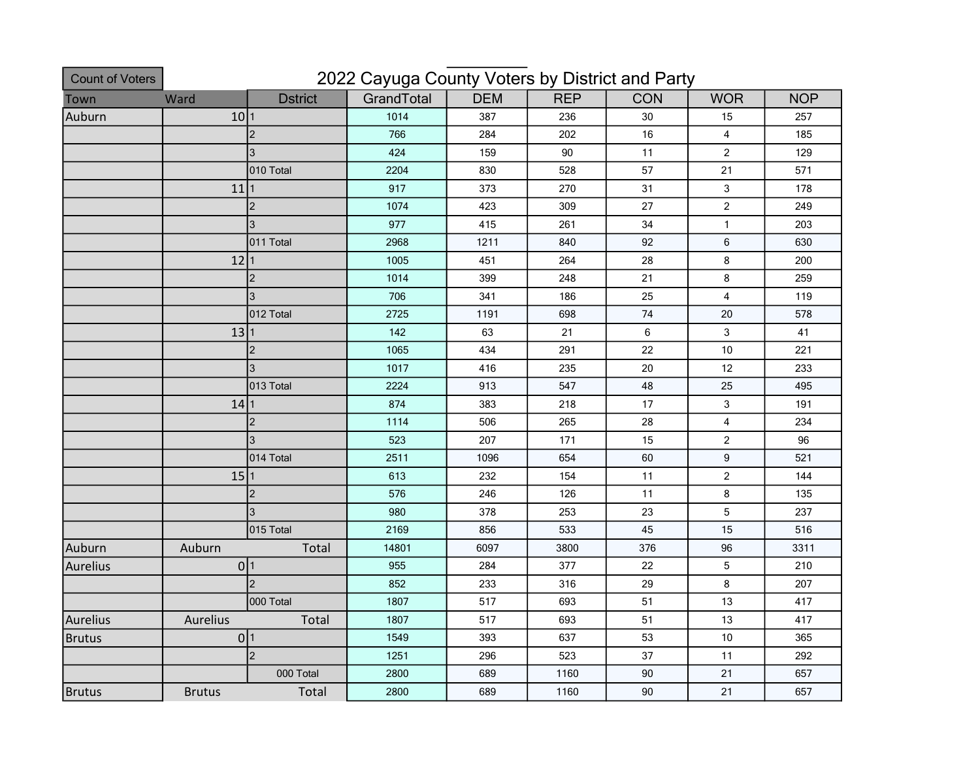| <b>Count of Voters</b> | 2022 Cayuga County Voters by District and Party |                |            |            |            |            |                         |            |  |
|------------------------|-------------------------------------------------|----------------|------------|------------|------------|------------|-------------------------|------------|--|
| Town                   | Ward                                            | <b>Dstrict</b> | GrandTotal | <b>DEM</b> | <b>REP</b> | <b>CON</b> | <b>WOR</b>              | <b>NOP</b> |  |
| Auburn                 | 10 1                                            |                | 1014       | 387        | 236        | 30         | 15                      | 257        |  |
|                        |                                                 | 2              | 766        | 284        | 202        | 16         | $\overline{4}$          | 185        |  |
|                        |                                                 | 3              | 424        | 159        | 90         | 11         | $\sqrt{2}$              | 129        |  |
|                        |                                                 | 010 Total      | 2204       | 830        | 528        | 57         | 21                      | 571        |  |
|                        | 11                                              | 11             | 917        | 373        | 270        | 31         | $\sqrt{3}$              | 178        |  |
|                        |                                                 | 2              | 1074       | 423        | 309        | 27         | $\sqrt{2}$              | 249        |  |
|                        |                                                 | 3              | 977        | 415        | 261        | 34         | $\mathbf{1}$            | 203        |  |
|                        |                                                 | 011 Total      | 2968       | 1211       | 840        | 92         | $\,6\,$                 | 630        |  |
|                        | 12 1                                            |                | 1005       | 451        | 264        | 28         | 8                       | 200        |  |
|                        |                                                 | 2              | 1014       | 399        | 248        | 21         | 8                       | 259        |  |
|                        |                                                 | 3              | 706        | 341        | 186        | 25         | $\overline{\mathbf{4}}$ | 119        |  |
|                        |                                                 | 012 Total      | 2725       | 1191       | 698        | 74         | $20\,$                  | 578        |  |
|                        | 13 1                                            |                | 142        | 63         | 21         | 6          | 3                       | 41         |  |
|                        |                                                 | $\overline{2}$ | 1065       | 434        | 291        | 22         | 10                      | 221        |  |
|                        |                                                 | 3              | 1017       | 416        | 235        | $20\,$     | 12                      | 233        |  |
|                        |                                                 | 013 Total      | 2224       | 913        | 547        | 48         | 25                      | 495        |  |
|                        | 14 1                                            |                | 874        | 383        | 218        | 17         | $\mathsf 3$             | 191        |  |
|                        |                                                 | $\overline{2}$ | 1114       | 506        | 265        | 28         | $\overline{4}$          | 234        |  |
|                        |                                                 | 3              | 523        | 207        | 171        | 15         | $\overline{c}$          | 96         |  |
|                        |                                                 | 014 Total      | 2511       | 1096       | 654        | 60         | $\mathsf g$             | 521        |  |
|                        | 15 1                                            |                | 613        | 232        | 154        | 11         | $\sqrt{2}$              | 144        |  |
|                        |                                                 | $\overline{2}$ | 576        | 246        | 126        | 11         | 8                       | 135        |  |
|                        |                                                 | 3              | 980        | 378        | 253        | 23         | $\mathbf 5$             | 237        |  |
|                        |                                                 | 015 Total      | 2169       | 856        | 533        | 45         | 15                      | 516        |  |
| Auburn                 | Auburn                                          | Total          | 14801      | 6097       | 3800       | 376        | 96                      | 3311       |  |
| Aurelius               | 0 1                                             |                | 955        | 284        | 377        | 22         | 5                       | 210        |  |
|                        |                                                 | $\overline{2}$ | 852        | 233        | 316        | 29         | 8                       | 207        |  |
|                        |                                                 | 000 Total      | 1807       | 517        | 693        | 51         | 13                      | 417        |  |
| Aurelius               | Aurelius<br>Total                               |                | 1807       | 517        | 693        | 51         | 13                      | 417        |  |
| <b>Brutus</b>          | 0 1                                             |                | 1549       | 393        | 637        | 53         | 10                      | 365        |  |
|                        |                                                 | 2              | 1251       | 296        | 523        | 37         | 11                      | 292        |  |
|                        |                                                 | 000 Total      | 2800       | 689        | 1160       | 90         | 21                      | 657        |  |
| <b>Brutus</b>          | <b>Brutus</b>                                   | Total          | 2800       | 689        | 1160       | 90         | 21                      | 657        |  |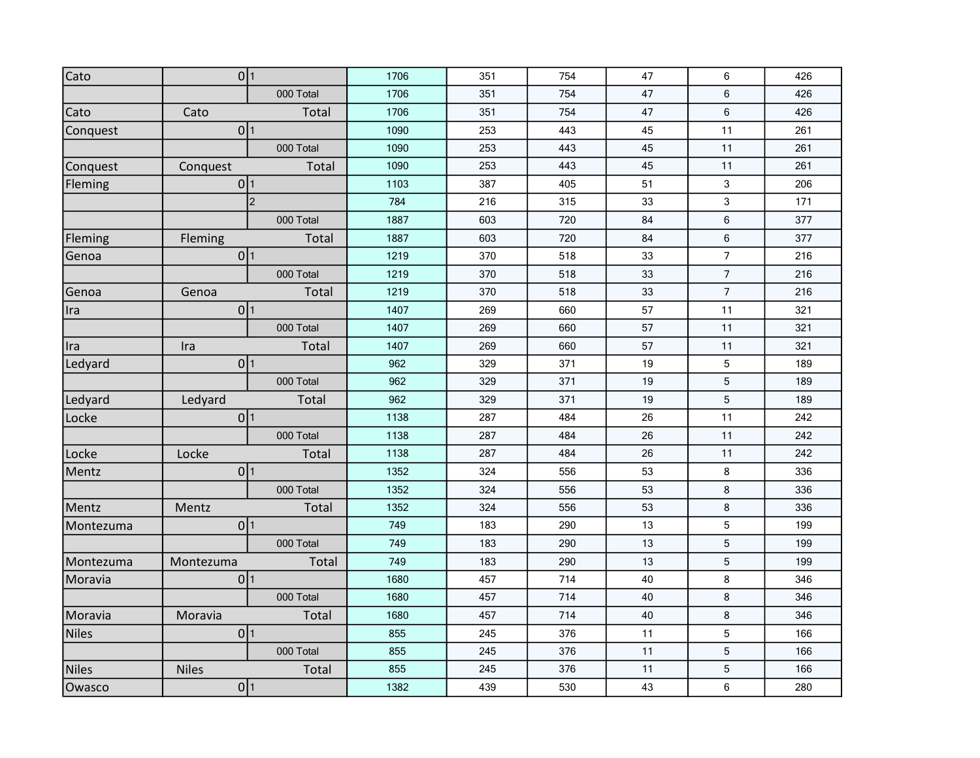| Cato         | 0 1             |           | 1706 | 351 | 754 | 47 | 6              | 426 |
|--------------|-----------------|-----------|------|-----|-----|----|----------------|-----|
|              |                 | 000 Total | 1706 | 351 | 754 | 47 | 6              | 426 |
| Cato         | Cato            | Total     | 1706 | 351 | 754 | 47 | 6              | 426 |
| Conquest     | 0 1             |           | 1090 | 253 | 443 | 45 | 11             | 261 |
|              |                 | 000 Total | 1090 | 253 | 443 | 45 | 11             | 261 |
| Conquest     | Conquest        | Total     | 1090 | 253 | 443 | 45 | 11             | 261 |
| Fleming      | 0 1             |           | 1103 | 387 | 405 | 51 | 3              | 206 |
|              | 2               |           | 784  | 216 | 315 | 33 | 3              | 171 |
|              |                 | 000 Total | 1887 | 603 | 720 | 84 | 6              | 377 |
| Fleming      | Fleming         | Total     | 1887 | 603 | 720 | 84 | 6              | 377 |
| Genoa        | 0 1             |           | 1219 | 370 | 518 | 33 | $\overline{7}$ | 216 |
|              |                 | 000 Total | 1219 | 370 | 518 | 33 | $\overline{7}$ | 216 |
| Genoa        | Genoa           | Total     | 1219 | 370 | 518 | 33 | $\overline{7}$ | 216 |
| Ira          | 0 1             |           | 1407 | 269 | 660 | 57 | 11             | 321 |
|              |                 | 000 Total | 1407 | 269 | 660 | 57 | 11             | 321 |
| Ira          | Ira             | Total     | 1407 | 269 | 660 | 57 | 11             | 321 |
| Ledyard      | 0 <sup>1</sup>  |           | 962  | 329 | 371 | 19 | 5              | 189 |
|              |                 | 000 Total | 962  | 329 | 371 | 19 | 5              | 189 |
| Ledyard      | Ledyard         | Total     | 962  | 329 | 371 | 19 | 5              | 189 |
| Locke        | 0 <sup>1</sup>  |           | 1138 | 287 | 484 | 26 | 11             | 242 |
|              |                 | 000 Total | 1138 | 287 | 484 | 26 | 11             | 242 |
| Locke        | Locke           | Total     | 1138 | 287 | 484 | 26 | 11             | 242 |
| Mentz        | 0 <sup>1</sup>  |           | 1352 | 324 | 556 | 53 | 8              | 336 |
|              |                 | 000 Total | 1352 | 324 | 556 | 53 | 8              | 336 |
| Mentz        | Mentz           | Total     | 1352 | 324 | 556 | 53 | 8              | 336 |
| Montezuma    | 0 <sup>1</sup>  |           | 749  | 183 | 290 | 13 | 5              | 199 |
|              |                 | 000 Total | 749  | 183 | 290 | 13 | 5              | 199 |
| Montezuma    | Montezuma       | Total     | 749  | 183 | 290 | 13 | 5              | 199 |
| Moravia      | 0 <sup>11</sup> |           | 1680 | 457 | 714 | 40 | 8              | 346 |
|              |                 | 000 Total | 1680 | 457 | 714 | 40 | 8              | 346 |
| Moravia      | Moravia         | Total     | 1680 | 457 | 714 | 40 | 8              | 346 |
| <b>Niles</b> | 0 <sup>1</sup>  |           | 855  | 245 | 376 | 11 | 5              | 166 |
|              |                 | 000 Total | 855  | 245 | 376 | 11 | 5              | 166 |
| <b>Niles</b> | <b>Niles</b>    | Total     | 855  | 245 | 376 | 11 | $\mathbf 5$    | 166 |
| Owasco       | 0 1             |           | 1382 | 439 | 530 | 43 | 6              | 280 |